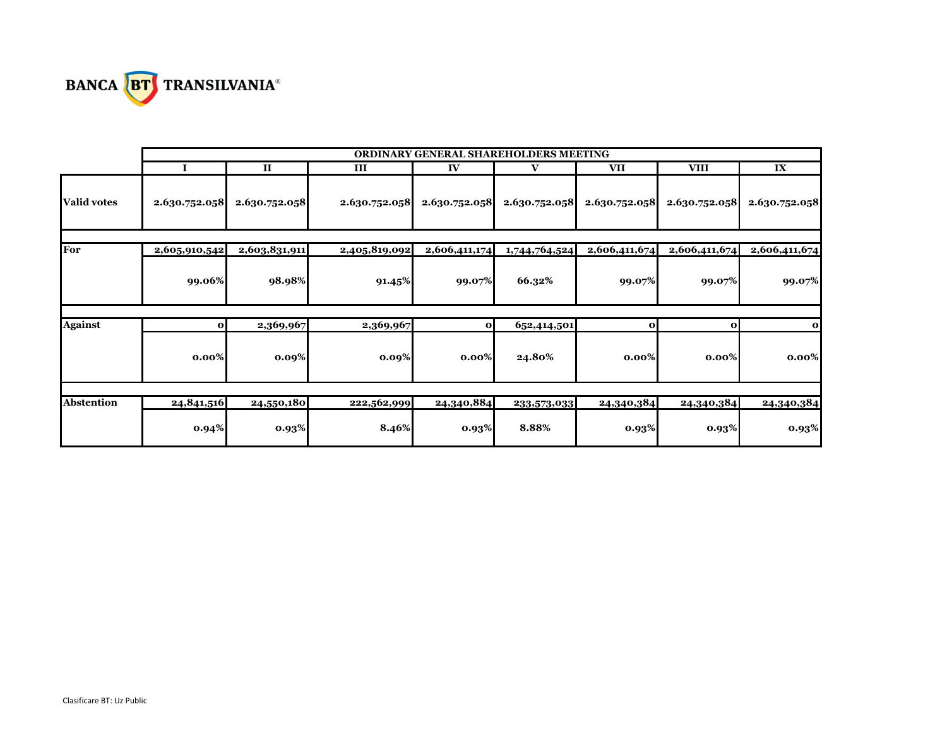

|                    | ORDINARY GENERAL SHAREHOLDERS MEETING |               |               |               |               |               |               |               |
|--------------------|---------------------------------------|---------------|---------------|---------------|---------------|---------------|---------------|---------------|
|                    |                                       | $\mathbf{I}$  | Ш             | IV            | V             | <b>VII</b>    | <b>VIII</b>   | IX            |
| <b>Valid votes</b> | 2.630.752.058                         | 2.630.752.058 | 2.630.752.058 | 2.630.752.058 | 2.630.752.058 | 2.630.752.058 | 2.630.752.058 | 2.630.752.058 |
| For                | 2,605,910,542                         | 2,603,831,911 | 2,405,819,092 | 2,606,411,174 | 1,744,764,524 | 2,606,411,674 | 2,606,411,674 | 2,606,411,674 |
|                    | 99.06%                                | 98.98%        | 91.45%        | 99.07%        | 66.32%        | 99.07%        | 99.07%        | 99.07%        |
|                    |                                       |               |               | $\mathbf{o}$  |               |               |               |               |
| <b>Against</b>     | $\mathbf{o}$                          | 2,369,967     | 2,369,967     |               | 652,414,501   | $\mathbf{o}$  | $\mathbf{o}$  | $\mathbf{o}$  |
|                    | $0.00\%$                              | 0.09%         | 0.09%         | $0.00\%$      | 24.80%        | $0.00\%$      | $0.00\%$      | $0.00\%$      |
|                    |                                       |               |               |               |               |               |               |               |
| <b>Abstention</b>  | 24,841,516                            | 24,550,180    | 222,562,999   | 24,340,884    | 233,573,033   | 24,340,384    | 24,340,384    | 24,340,384    |
|                    | 0.94%                                 | 0.93%         | 8.46%         | 0.93%         | 8.88%         | 0.93%         | 0.93%         | 0.93%         |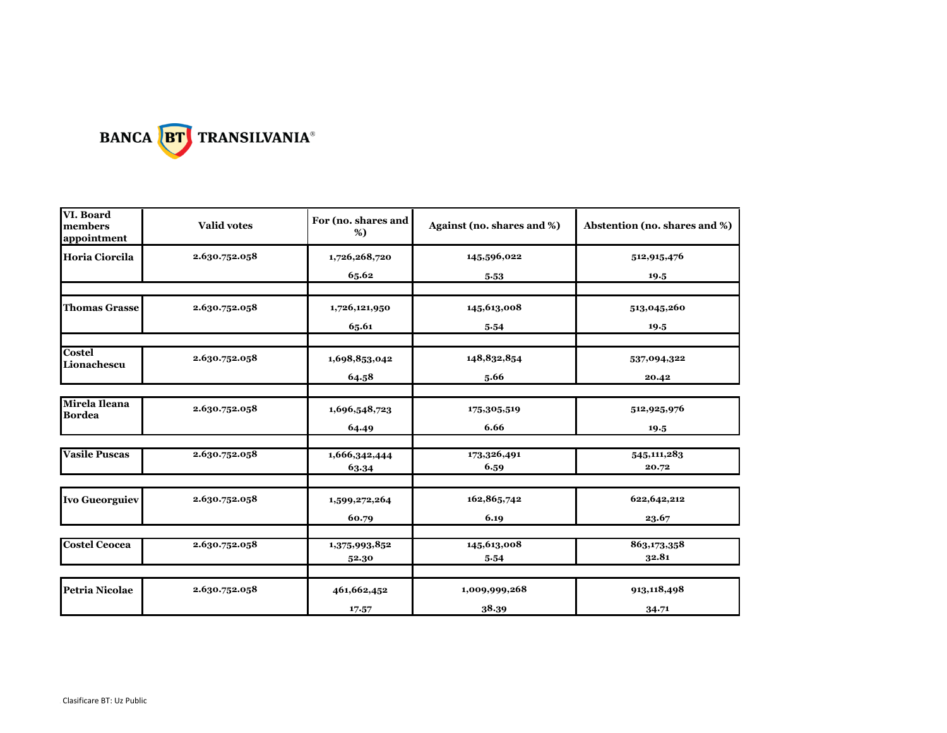

| VI. Board<br><b>Valid votes</b><br>members<br>appointment |               | For (no. shares and<br>%)           | Against (no. shares and %) | Abstention (no. shares and %) |  |
|-----------------------------------------------------------|---------------|-------------------------------------|----------------------------|-------------------------------|--|
| Horia Ciorcila                                            | 2.630.752.058 | 1,726,268,720                       | 145,596,022                | 512,915,476                   |  |
|                                                           |               | 65.62                               | 5.53                       | 19.5                          |  |
| <b>Thomas Grasse</b>                                      | 2.630.752.058 | 1,726,121,950                       | 145,613,008                | 513,045,260                   |  |
|                                                           |               | 65.61                               | 5.54                       | 19.5                          |  |
| <b>Costel</b><br>Lionachescu                              | 2.630.752.058 | 1,698,853,042                       | 148,832,854                | 537,094,322                   |  |
|                                                           |               | 64.58                               | 5.66                       | 20.42                         |  |
|                                                           |               |                                     |                            |                               |  |
| Mirela Ileana<br><b>Bordea</b>                            | 2.630.752.058 | 1,696,548,723                       | 175,305,519                | 512,925,976                   |  |
|                                                           |               | 64.49                               | 6.66                       | 19.5                          |  |
| <b>Vasile Puscas</b>                                      | 2.630.752.058 |                                     | 173,326,491                | 545, 111, 283                 |  |
|                                                           |               | $\overline{1,}666,342,444$<br>63.34 | 6.59                       | 20.72                         |  |
|                                                           |               |                                     |                            |                               |  |
| <b>Ivo Gueorguiev</b>                                     | 2.630.752.058 | 1,599,272,264                       | 162,865,742                | 622, 642, 212                 |  |
|                                                           |               | 60.79                               | 6.19                       | 23.67                         |  |
| <b>Costel Ceocea</b>                                      | 2.630.752.058 | 1,375,993,852                       | 145,613,008                | 863,173,358                   |  |
|                                                           |               | 52.30                               | 5.54                       | 32.81                         |  |
|                                                           |               |                                     |                            |                               |  |
| <b>Petria Nicolae</b>                                     | 2.630.752.058 | 461,662,452                         | 1,009,999,268              | 913,118,498                   |  |
|                                                           |               | 17.57                               | 38.39                      | 34.71                         |  |